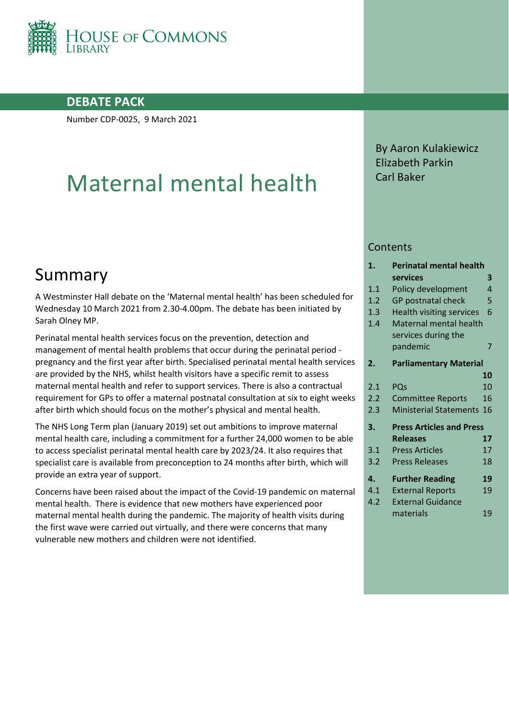

### **DEBATE PACK**

Number CDP-0025, 9 March 2021

# Maternal mental health

## Summary

A Westminster Hall debate on the 'Maternal mental health' has been scheduled for Wednesday 10 March 2021 from 2.30-4.00pm. The debate has been initiated by Sarah Olney MP.

Perinatal mental health services focus on the prevention, detection and management of mental health problems that occur during the perinatal period pregnancy and the first year after birth. Specialised perinatal mental health services are provided by the NHS, whilst health visitors have a specific remit to assess maternal mental health and refer to support services. There is also a contractual requirement for GPs to offer a maternal postnatal consultation at six to eight weeks after birth which should focus on the mother's physical and mental health.

The NHS Long Term plan (January 2019) set out ambitions to improve maternal mental health care, including a commitment for a further 24,000 women to be able to access specialist perinatal mental health care by 2023/24. It also requires that specialist care is available from preconception to 24 months after birth, which will provide an extra year of support.

Concerns have been raised about the impact of the Covid-19 pandemic on maternal mental health. There is evidence that new mothers have experienced poor maternal mental health during the pandemic. The majority of health visits during the first wave were carried out virtually, and there were concerns that many vulnerable new mothers and children were not identified.

By Aaron Kulakiewicz Elizabeth Parkin Carl Baker

#### **Contents**

| 1.  | <b>Perinatal mental health</b>  |    |  |
|-----|---------------------------------|----|--|
|     | services                        | 3  |  |
| 1.1 | Policy development              | 4  |  |
| 1.2 | <b>GP</b> postnatal check       | 5  |  |
| 1.3 | <b>Health visiting services</b> | 6  |  |
| 1.4 | Maternal mental health          |    |  |
|     | services during the             |    |  |
|     | pandemic                        | 7  |  |
| 2.  | <b>Parliamentary Material</b>   |    |  |
|     |                                 | 10 |  |
| 2.1 | PQs                             | 10 |  |
| 2.2 | <b>Committee Reports</b>        | 16 |  |
| 2.3 | <b>Ministerial Statements</b>   | 16 |  |
| 3.  | <b>Press Articles and Press</b> |    |  |
|     | <b>Releases</b>                 | 17 |  |
| 3.1 | <b>Press Articles</b>           | 17 |  |
| 3.2 | <b>Press Releases</b>           | 18 |  |
| 4.  | <b>Further Reading</b>          | 19 |  |
| 4.1 | <b>External Reports</b>         | 19 |  |
| 4.2 | <b>External Guidance</b>        |    |  |
|     | materials                       | 19 |  |
|     |                                 |    |  |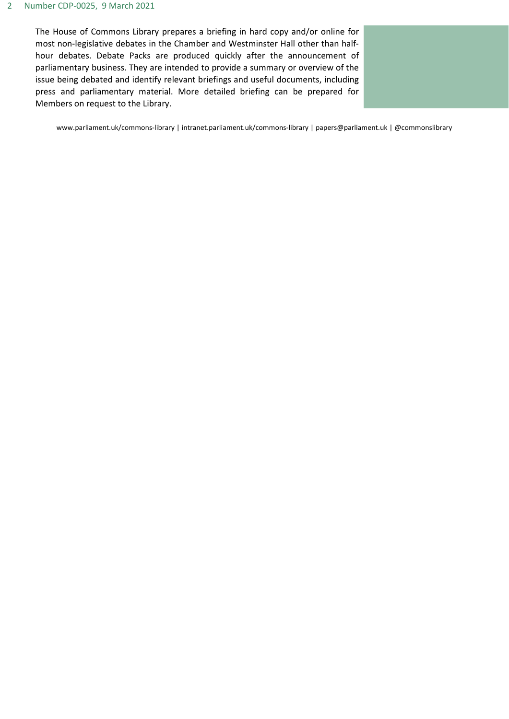#### 2 Number CDP-0025, 9 March 2021

The House of Commons Library prepares a briefing in hard copy and/or online for most non-legislative debates in the Chamber and Westminster Hall other than halfhour debates. Debate Packs are produced quickly after the announcement of parliamentary business. They are intended to provide a summary or overview of the issue being debated and identify relevant briefings and useful documents, including press and parliamentary material. More detailed briefing can be prepared for Members on request to the Library.

www.parliament.uk/commons-library | intranet.parliament.uk/commons-library | papers@parliament.uk | @commonslibrary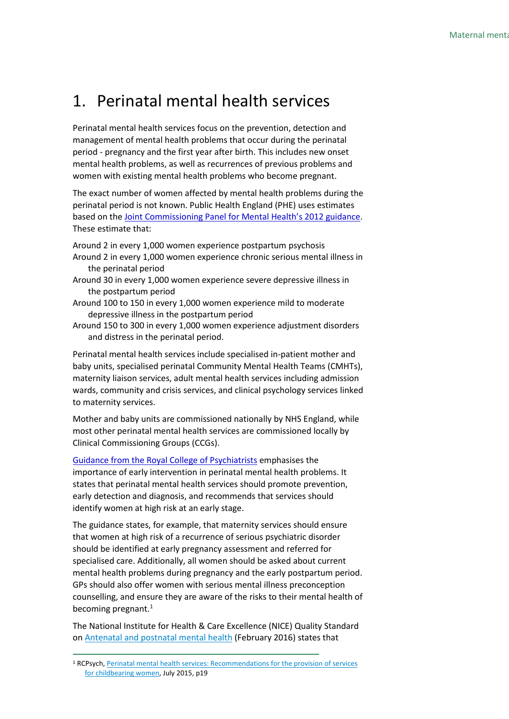## <span id="page-2-0"></span>1. Perinatal mental health services

Perinatal mental health services focus on the prevention, detection and management of mental health problems that occur during the perinatal period - pregnancy and the first year after birth. This includes new onset mental health problems, as well as recurrences of previous problems and women with existing mental health problems who become pregnant.

The exact number of women affected by mental health problems during the perinatal period is not known. Public Health England (PHE) uses estimates based on th[e Joint Commissioning Panel for Mental Health's 2012 guidance.](https://www.jcpmh.info/resource/guidance-perinatal-mental-health-services/) These estimate that:

Around 2 in every 1,000 women experience postpartum psychosis

- Around 2 in every 1,000 women experience chronic serious mental illness in the perinatal period
- Around 30 in every 1,000 women experience severe depressive illness in the postpartum period
- Around 100 to 150 in every 1,000 women experience mild to moderate depressive illness in the postpartum period
- Around 150 to 300 in every 1,000 women experience adjustment disorders and distress in the perinatal period.

Perinatal mental health services include specialised in-patient mother and baby units, specialised perinatal Community Mental Health Teams (CMHTs), maternity liaison services, adult mental health services including admission wards, community and crisis services, and clinical psychology services linked to maternity services.

Mother and baby units are commissioned nationally by NHS England, while most other perinatal mental health services are commissioned locally by Clinical Commissioning Groups (CCGs).

Guidance from the [Royal College of Psychiatrists](https://www.rcpsych.ac.uk/docs/default-source/improving-care/better-mh-policy/college-reports/college-report-cr197.pdf?sfvrsn=57766e79_2) emphasises the importance of early intervention in perinatal mental health problems. It states that perinatal mental health services should promote prevention, early detection and diagnosis, and recommends that services should identify women at high risk at an early stage.

The guidance states, for example, that maternity services should ensure that women at high risk of a recurrence of serious psychiatric disorder should be identified at early pregnancy assessment and referred for specialised care. Additionally, all women should be asked about current mental health problems during pregnancy and the early postpartum period. GPs should also offer women with serious mental illness preconception counselling, and ensure they are aware of the risks to their mental health of becoming pregnant. $<sup>1</sup>$  $<sup>1</sup>$  $<sup>1</sup>$ </sup>

The National Institute for Health & Care Excellence (NICE) Quality Standard on [Antenatal and postnatal mental health](https://www.nice.org.uk/guidance/qs115/chapter/Quality-statement-4-Asking-about-mental-health-and-wellbeing) (February 2016) states that

<span id="page-2-1"></span><sup>1</sup> RCPsych, [Perinatal mental health services: Recommendations for the provision of services](https://www.rcpsych.ac.uk/docs/default-source/improving-care/better-mh-policy/college-reports/college-report-cr197.pdf?sfvrsn=57766e79_2)  [for childbearing women,](https://www.rcpsych.ac.uk/docs/default-source/improving-care/better-mh-policy/college-reports/college-report-cr197.pdf?sfvrsn=57766e79_2) July 2015, p19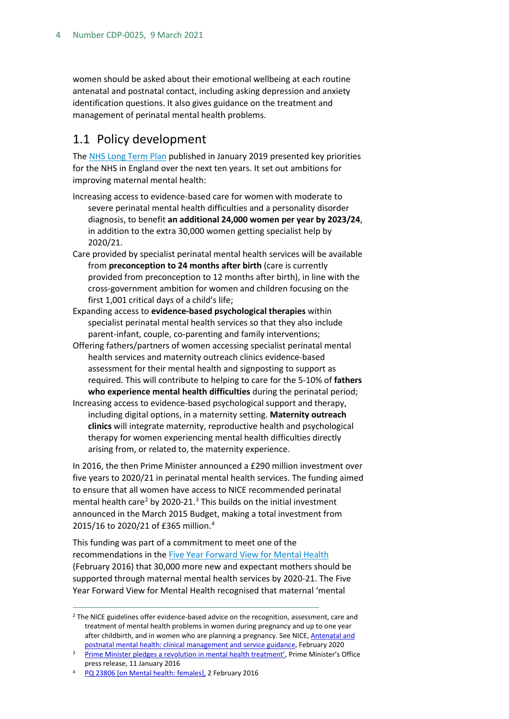women should be asked about their emotional wellbeing at each routine antenatal and postnatal contact, including asking depression and anxiety identification questions. It also gives guidance on the treatment and management of perinatal mental health problems.

## <span id="page-3-0"></span>1.1 Policy development

The [NHS Long Term Plan](https://www.longtermplan.nhs.uk/publication/nhs-long-term-plan/) published in January 2019 presented key priorities for the NHS in England over the next ten years. It set out ambitions for improving maternal mental health:

- Increasing access to evidence-based care for women with moderate to severe perinatal mental health difficulties and a personality disorder diagnosis, to benefit **an additional 24,000 women per year by 2023/24**, in addition to the extra 30,000 women getting specialist help by 2020/21.
- Care provided by specialist perinatal mental health services will be available from **preconception to 24 months after birth** (care is currently provided from preconception to 12 months after birth), in line with the cross-government ambition for women and children focusing on the first 1,001 critical days of a child's life;
- Expanding access to **evidence-based psychological therapies** within specialist perinatal mental health services so that they also include parent-infant, couple, co-parenting and family interventions;
- Offering fathers/partners of women accessing specialist perinatal mental health services and maternity outreach clinics evidence-based assessment for their mental health and signposting to support as required. This will contribute to helping to care for the 5-10% of **fathers who experience mental health difficulties** during the perinatal period;
- Increasing access to evidence-based psychological support and therapy, including digital options, in a maternity setting. **Maternity outreach clinics** will integrate maternity, reproductive health and psychological therapy for women experiencing mental health difficulties directly arising from, or related to, the maternity experience.

In 2016, the then Prime Minister announced a £290 million investment over five years to 2020/21 in perinatal mental health services. The funding aimed to ensure that all women have access to NICE recommended perinatal mental health care<sup>[2](#page-3-1)</sup> by 2020-21.<sup>[3](#page-3-2)</sup> This builds on the initial investment announced in the March 2015 Budget, making a total investment from 2015/16 to 2020/21 of £365 million. [4](#page-3-3)

This funding was part of a commitment to meet one of the recommendations in th[e Five Year Forward View for Mental Health](https://www.england.nhs.uk/wp-content/uploads/2016/02/Mental-Health-Taskforce-FYFV-final.pdf) (February 2016) that 30,000 more new and expectant mothers should be supported through maternal mental health services by 2020-21. The Five Year Forward View for Mental Health recognised that maternal 'mental

<span id="page-3-1"></span><sup>&</sup>lt;sup>2</sup> The NICE guidelines offer evidence-based advice on the recognition, assessment, care and treatment of mental health problems in women during pregnancy and up to one year after childbirth, and in women who are planning a pregnancy. See NICE, **Antenatal and** [postnatal mental health: clinical management and service guidance,](https://www.nice.org.uk/guidance/cg192) February 2020

<span id="page-3-2"></span><sup>&</sup>lt;sup>3</sup> [Prime Minister pledges a revolution in mental health treatment',](https://www.gov.uk/government/news/prime-minister-pledges-a-revolution-in-mental-health-treatment) Prime Minister's Office press release, 11 January 2016

<span id="page-3-3"></span><sup>4</sup> [PQ 23806 \[on Mental health: females\],](http://www.parliament.uk/written-questions-answers-statements/written-question/commons/2016-01-25/23806) 2 February 2016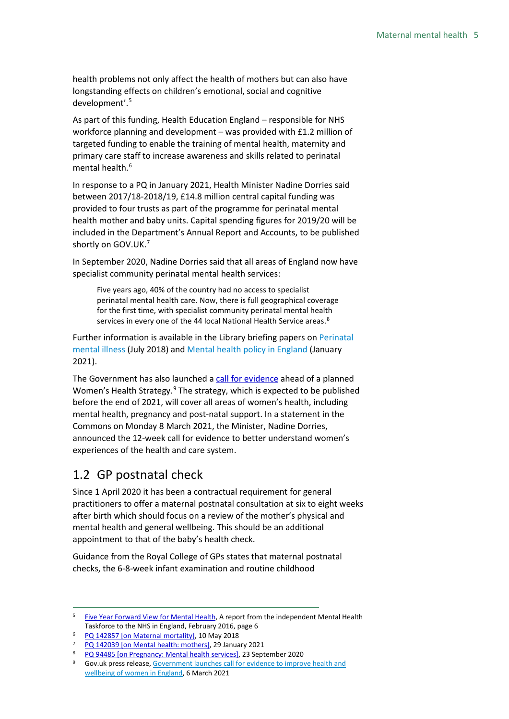health problems not only affect the health of mothers but can also have longstanding effects on children's emotional, social and cognitive development'. [5](#page-4-1)

As part of this funding, Health Education England – responsible for NHS workforce planning and development – was provided with £1.2 million of targeted funding to enable the training of mental health, maternity and primary care staff to increase awareness and skills related to perinatal mental health.<sup>[6](#page-4-2)</sup>

In response to a PQ in January 2021, Health Minister Nadine Dorries said between 2017/18-2018/19, £14.8 million central capital funding was provided to four trusts as part of the programme for perinatal mental health mother and baby units. Capital spending figures for 2019/20 will be included in the Department's Annual Report and Accounts, to be published shortly on GOV.UK.<sup>[7](#page-4-3)</sup>

In September 2020, Nadine Dorries said that all areas of England now have specialist community perinatal mental health services:

Five years ago, 40% of the country had no access to specialist perinatal mental health care. Now, there is full geographical coverage for the first time, with specialist community perinatal mental health services in every one of the 44 local National Health Service areas.<sup>[8](#page-4-4)</sup>

Further information is available in the Library briefing papers on **Perinatal** [mental illness](https://commonslibrary.parliament.uk/research-briefings/cdp-2018-0178/) (July 2018) and [Mental health policy in England](https://commonslibrary.parliament.uk/research-briefings/cbp-7547/) (January 2021).

The Government has also launched a [call for evidence](https://www.gov.uk/government/consultations/womens-health-strategy-call-for-evidence) ahead of a planned Women's Health Strategy.<sup>[9](#page-4-5)</sup> The strategy, which is expected to be published before the end of 2021, will cover all areas of women's health, including mental health, pregnancy and post-natal support. In a statement in the Commons on Monday 8 March 2021, the Minister, Nadine Dorries, announced the 12-week call for evidence to better understand women's experiences of the health and care system.

## <span id="page-4-0"></span>1.2 GP postnatal check

Since 1 April 2020 it has been a contractual requirement for general practitioners to offer a maternal postnatal consultation at six to eight weeks after birth which should focus on a review of the mother's physical and mental health and general wellbeing. This should be an additional appointment to that of the baby's health check.

Guidance from the Royal College of GPs states that maternal postnatal checks, the 6-8-week infant examination and routine childhood

<span id="page-4-1"></span><sup>&</sup>lt;sup>5</sup> [Five Year Forward View for Mental Health,](https://www.england.nhs.uk/wp-content/uploads/2016/02/Mental-Health-Taskforce-FYFV-final.pdf) A report from the independent Mental Health Taskforce to the NHS in England, February 2016, page 6

<span id="page-4-2"></span><sup>&</sup>lt;sup>6</sup> [PQ 142857 \[on Maternal mortality\],](https://questions-statements.parliament.uk/written-questions/detail/2018-05-10/142857) 10 May 2018

<span id="page-4-3"></span><sup>7</sup> [PQ 142039 \[on Mental health: mothers\],](https://questions-statements.parliament.uk/written-questions/detail/2021-01-22/142039) 29 January 2021

<span id="page-4-4"></span><sup>8</sup> [PQ 94485 \[on Pregnancy: Mental health services\],](https://questions-statements.parliament.uk/written-questions/detail/2020-09-23/94485) 23 September 2020

<span id="page-4-5"></span><sup>&</sup>lt;sup>9</sup> Gov.uk press release, Government launches call for evidence to improve health and [wellbeing of women in England,](https://www.gov.uk/government/news/government-launches-call-for-evidence-to-improve-health-and-wellbeing-of-women-in-england) 6 March 2021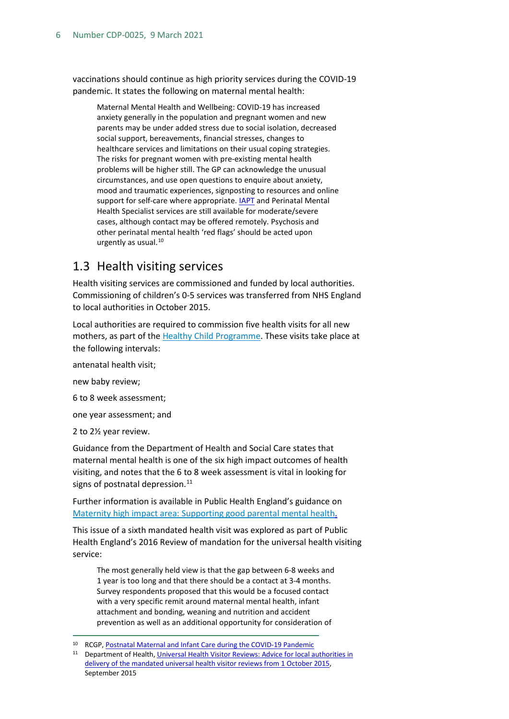vaccinations should continue as high priority services during the COVID-19 pandemic. It states the following on maternal mental health:

Maternal Mental Health and Wellbeing: COVID-19 has increased anxiety generally in the population and pregnant women and new parents may be under added stress due to social isolation, decreased social support, bereavements, financial stresses, changes to healthcare services and limitations on their usual coping strategies. The risks for pregnant women with pre-existing mental health problems will be higher still. The GP can acknowledge the unusual circumstances, and use open questions to enquire about anxiety, mood and traumatic experiences, signposting to resources and online support for self-care where appropriate. **IAPT** and Perinatal Mental Health Specialist services are still available for moderate/severe cases, although contact may be offered remotely. Psychosis and other perinatal mental health 'red flags' should be acted upon urgently as usual.<sup>[10](#page-5-1)</sup>

## <span id="page-5-0"></span>1.3 Health visiting services

Health visiting services are commissioned and funded by local authorities. Commissioning of children's 0-5 services was transferred from NHS England to local authorities in October 2015.

Local authorities are required to commission five health visits for all new mothers, as part of the [Healthy Child Programme.](https://www.gov.uk/government/publications/healthy-child-programme-0-to-19-health-visitor-and-school-nurse-commissioning) These visits take place at the following intervals:

antenatal health visit;

new baby review;

6 to 8 week assessment;

one year assessment; and

2 to 2½ year review.

Guidance from the Department of Health and Social Care states that maternal mental health is one of the six high impact outcomes of health visiting, and notes that the 6 to 8 week assessment is vital in looking for signs of postnatal depression.<sup>[11](#page-5-2)</sup>

Further information is available in Public Health England's guidance on Maternity high impact area: [Supporting good parental mental health.](https://assets.publishing.service.gov.uk/government/uploads/system/uploads/attachment_data/file/942475/Maternity_high_impact_area_2_Supporting_good_parental_mental_health.pdf)

This issue of a sixth mandated health visit was explored as part of Public Health England's 2016 Review of mandation for the universal health visiting service:

The most generally held view is that the gap between 6-8 weeks and 1 year is too long and that there should be a contact at 3-4 months. Survey respondents proposed that this would be a focused contact with a very specific remit around maternal mental health, infant attachment and bonding, weaning and nutrition and accident prevention as well as an additional opportunity for consideration of

<span id="page-5-1"></span><sup>10</sup> RCGP[, Postnatal Maternal and Infant Care during the COVID-19 Pandemic](https://elearning.rcgp.org.uk/pluginfile.php/148864/mod_page/content/82/Postnatal%20Maternal%20and%20Infant%20Care%20during%20the%20COVID-19%20Pandemic%20-%20A%20guide%20for%20General%20Practice%20Version%202%20%2803.07.2020%29.pdf)

<span id="page-5-2"></span><sup>11</sup> Department of Health, [Universal Health Visitor Reviews: Advice for local authorities in](https://assets.publishing.service.gov.uk/government/uploads/system/uploads/attachment_data/file/464880/Universal_health_visitor_reviews_toolkit.pdf)  [delivery of the mandated universal health visitor reviews from 1 October 2015,](https://assets.publishing.service.gov.uk/government/uploads/system/uploads/attachment_data/file/464880/Universal_health_visitor_reviews_toolkit.pdf)  September 2015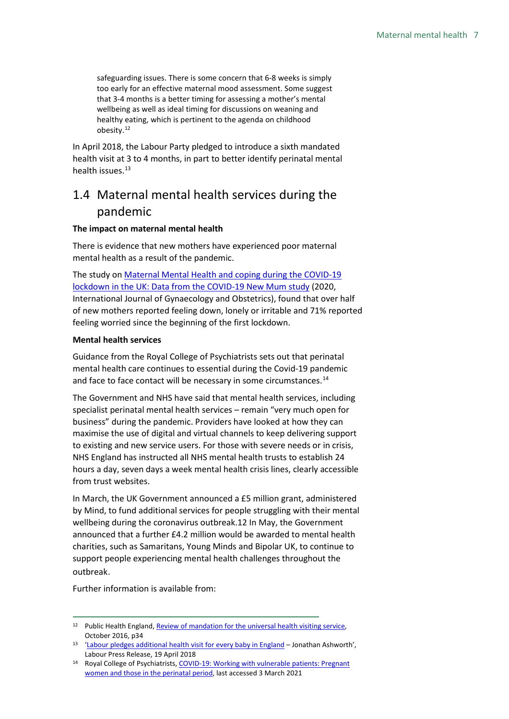safeguarding issues. There is some concern that 6-8 weeks is simply too early for an effective maternal mood assessment. Some suggest that 3-4 months is a better timing for assessing a mother's mental wellbeing as well as ideal timing for discussions on weaning and healthy eating, which is pertinent to the agenda on childhood obesity.[12](#page-6-1)

In April 2018, the Labour Party pledged to introduce a sixth mandated health visit at 3 to 4 months, in part to better identify perinatal mental health issues.<sup>[13](#page-6-2)</sup>

## <span id="page-6-0"></span>1.4 Maternal mental health services during the pandemic

#### **The impact on maternal mental health**

There is evidence that new mothers have experienced poor maternal mental health as a result of the pandemic.

The study on Maternal [Mental Health and coping during the COVID-19](https://obgyn.onlinelibrary.wiley.com/doi/full/10.1002/ijgo.13397)  [lockdown in the UK: Data from the COVID-19 New Mum study](https://obgyn.onlinelibrary.wiley.com/doi/full/10.1002/ijgo.13397) (2020, International Journal of Gynaecology and Obstetrics), found that over half of new mothers reported feeling down, lonely or irritable and 71% reported feeling worried since the beginning of the first lockdown.

#### **Mental health services**

Guidance from the Royal College of Psychiatrists sets out that perinatal mental health care continues to essential during the Covid-19 pandemic and face to face contact will be necessary in some circumstances.<sup>[14](#page-6-3)</sup>

The Government and NHS have said that mental health services, including specialist perinatal mental health services – remain "very much open for business" during the pandemic. Providers have looked at how they can maximise the use of digital and virtual channels to keep delivering support to existing and new service users. For those with severe needs or in crisis, NHS England has instructed all NHS mental health trusts to establish 24 hours a day, seven days a week mental health crisis lines, clearly accessible from trust websites.

In March, the UK Government announced a £5 million grant, administered by Mind, to fund additional services for people struggling with their mental wellbeing during the coronavirus outbreak.12 In May, the Government announced that a further £4.2 million would be awarded to mental health charities, such as Samaritans, Young Minds and Bipolar UK, to continue to support people experiencing mental health challenges throughout the outbreak.

Further information is available from:

<span id="page-6-1"></span><sup>&</sup>lt;sup>12</sup> Public Health England, Review of mandation for the universal health visiting service, October 2016, p34

<span id="page-6-2"></span><sup>13</sup> ['Labour pledges additional health visit for every baby in England](https://labour.org.uk/press/labour-pledges-additional-health-visit-every-baby-england-jonathan-ashworth/) – Jonathan Ashworth', Labour Press Release, 19 April 2018

<span id="page-6-3"></span><sup>14</sup> Royal College of Psychiatrists[, COVID-19: Working with vulnerable patients: Pregnant](https://www.rcpsych.ac.uk/about-us/responding-to-covid-19/responding-to-covid-19-guidance-for-clinicians/community-and-inpatient-services/covid-19-working-with-vulnerable-patients)  [women and those in the perinatal period,](https://www.rcpsych.ac.uk/about-us/responding-to-covid-19/responding-to-covid-19-guidance-for-clinicians/community-and-inpatient-services/covid-19-working-with-vulnerable-patients) last accessed 3 March 2021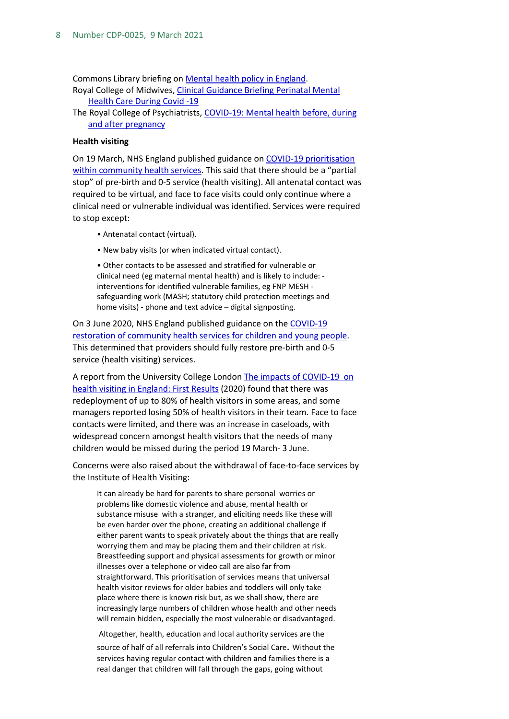Commons Library briefing on [Mental health policy in England.](https://commonslibrary.parliament.uk/research-briefings/cbp-7547/) Royal College of Midwives, [Clinical Guidance Briefing Perinatal Mental](https://www.rcm.org.uk/media/3859/rcm-clinical-guidance-briefing-no-10-perinatal-mental-health-care.pdf)  [Health Care During Covid -19](https://www.rcm.org.uk/media/3859/rcm-clinical-guidance-briefing-no-10-perinatal-mental-health-care.pdf) 

The Royal College of Psychiatrists, [COVID-19: Mental health before, during](https://www.rcpsych.ac.uk/mental-health/treatments-and-wellbeing/perinatal-care-and-covid-19)  [and after pregnancy](https://www.rcpsych.ac.uk/mental-health/treatments-and-wellbeing/perinatal-care-and-covid-19)

#### **Health visiting**

On 19 March, NHS England published guidance o[n COVID-19 prioritisation](https://teleswallowing.com/wp-content/uploads/2020/05/C0145-COVID-19-prioritisation-within-community-health-services-1-April-2020.pdf)  [within community health services.](https://teleswallowing.com/wp-content/uploads/2020/05/C0145-COVID-19-prioritisation-within-community-health-services-1-April-2020.pdf) This said that there should be a "partial stop" of pre-birth and 0-5 service (health visiting). All antenatal contact was required to be virtual, and face to face visits could only continue where a clinical need or vulnerable individual was identified. Services were required to stop except:

- Antenatal contact (virtual).
- New baby visits (or when indicated virtual contact).

• Other contacts to be assessed and stratified for vulnerable or clinical need (eg maternal mental health) and is likely to include: interventions for identified vulnerable families, eg FNP MESH safeguarding work (MASH; statutory child protection meetings and home visits) - phone and text advice – digital signposting.

On 3 June 2020, NHS England published guidance on th[e COVID-19](https://www.england.nhs.uk/coronavirus/wp-content/uploads/sites/52/2020/03/C0552-Restoration-of-Community-Health-Services-Guidance-CYP-with-note-31-July.pdf)  [restoration of community health services for children and young people.](https://www.england.nhs.uk/coronavirus/wp-content/uploads/sites/52/2020/03/C0552-Restoration-of-Community-Health-Services-Guidance-CYP-with-note-31-July.pdf) This determined that providers should fully restore pre-birth and 0-5 service (health visiting) services.

A report from the University College London The impacts of COVID-19 on [health visiting in England: First Results](https://discovery.ucl.ac.uk/id/eprint/10106430/) (2020) found that there was redeployment of up to 80% of health visitors in some areas, and some managers reported losing 50% of health visitors in their team. Face to face contacts were limited, and there was an increase in caseloads, with widespread concern amongst health visitors that the needs of many children would be missed during the period 19 March- 3 June.

Concerns were also raised about the withdrawal of face-to-face services by the Institute of Health Visiting:

It can already be hard for parents to share personal worries or problems like domestic violence and abuse, mental health or substance misuse with a stranger, and eliciting needs like these will be even harder over the phone, creating an additional challenge if either parent wants to speak privately about the things that are really worrying them and may be placing them and their children at risk. Breastfeeding support and physical assessments for growth or minor illnesses over a telephone or video call are also far from straightforward. This prioritisation of services means that universal health visitor reviews for older babies and toddlers will only take place where there is known risk but, as we shall show, there are increasingly large numbers of children whose health and other needs will remain hidden, especially the most vulnerable or disadvantaged.

Altogether, health, education and local authority services are the source of half of all referrals into Children's Social Care. Without the services having regular contact with children and families there is a real danger that children will fall through the gaps, going without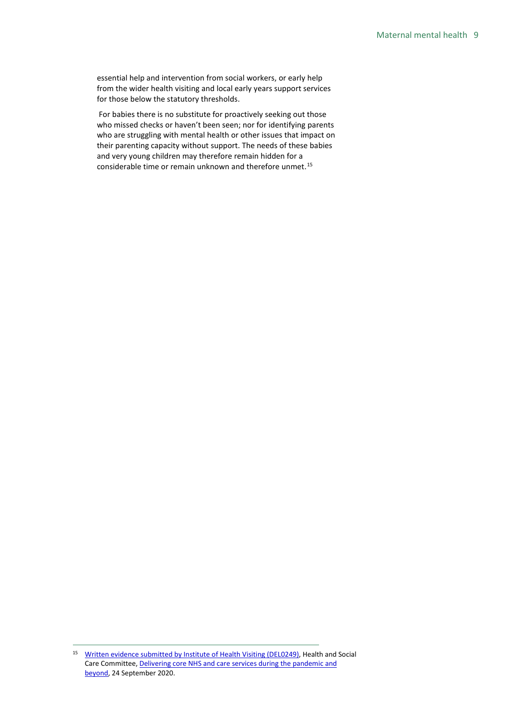essential help and intervention from social workers, or early help from the wider health visiting and local early years support services for those below the statutory thresholds.

For babies there is no substitute for proactively seeking out those who missed checks or haven't been seen; nor for identifying parents who are struggling with mental health or other issues that impact on their parenting capacity without support. The needs of these babies and very young children may therefore remain hidden for a considerable time or remain unknown and therefore unmet.<sup>[15](#page-8-0)</sup>

<span id="page-8-0"></span><sup>&</sup>lt;sup>15</sup> [Written evidence submitted by Institute of Health Visiting \(DEL0249\),](https://committees.parliament.uk/writtenevidence/4597/html/) Health and Social Care Committee[, Delivering core NHS and care services during the pandemic and](https://committees.parliament.uk/publications/2793/documents/27577/default/)  [beyond,](https://committees.parliament.uk/publications/2793/documents/27577/default/) 24 September 2020.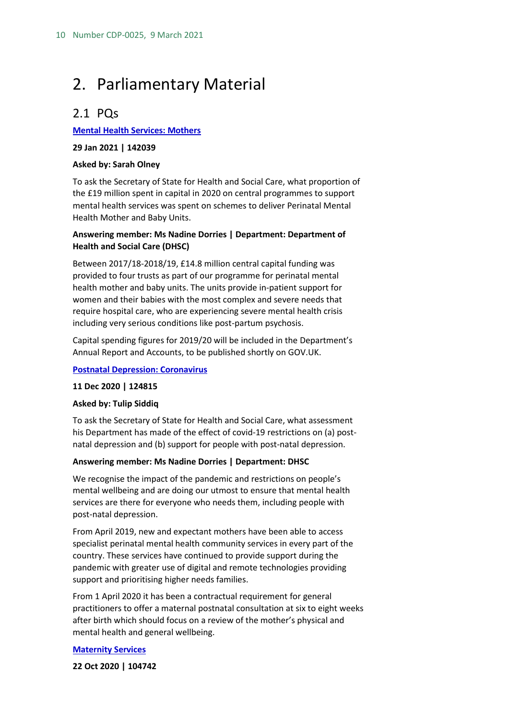## <span id="page-9-0"></span>2. Parliamentary Material

## <span id="page-9-1"></span>2.1 PQs

#### **Mental Health [Services:](http://www.parliament.uk/written-questions-answers-statements/written-question/commons/2021-01-22/142039) Mothers**

**29 Jan 2021 | 142039**

#### **Asked by: Sarah Olney**

To ask the Secretary of State for Health and Social Care, what proportion of the £19 million spent in capital in 2020 on central programmes to support mental health services was spent on schemes to deliver Perinatal Mental Health Mother and Baby Units.

#### **Answering member: Ms Nadine Dorries | Department: Department of Health and Social Care (DHSC)**

Between 2017/18-2018/19, £14.8 million central capital funding was provided to four trusts as part of our programme for perinatal mental health mother and baby units. The units provide in-patient support for women and their babies with the most complex and severe needs that require hospital care, who are experiencing severe mental health crisis including very serious conditions like post-partum psychosis.

Capital spending figures for 2019/20 will be included in the Department's Annual Report and Accounts, to be published shortly on GOV.UK.

#### **[Postnatal Depression: Coronavirus](http://www.parliament.uk/written-questions-answers-statements/written-question/commons/2020-12-03/124815)**

#### **11 Dec 2020 | 124815**

#### **Asked by: Tulip Siddiq**

To ask the Secretary of State for Health and Social Care, what assessment his Department has made of the effect of covid-19 restrictions on (a) postnatal depression and (b) support for people with post-natal depression.

#### **Answering member: Ms Nadine Dorries | Department: DHSC**

We recognise the impact of the pandemic and restrictions on people's mental wellbeing and are doing our utmost to ensure that mental health services are there for everyone who needs them, including people with post-natal depression.

From April 2019, new and expectant mothers have been able to access specialist perinatal mental health community services in every part of the country. These services have continued to provide support during the pandemic with greater use of digital and remote technologies providing support and prioritising higher needs families.

From 1 April 2020 it has been a contractual requirement for general practitioners to offer a maternal postnatal consultation at six to eight weeks after birth which should focus on a review of the mother's physical and mental health and general wellbeing.

#### **[Maternity](http://www.parliament.uk/written-questions-answers-statements/written-question/commons/2020-10-16/104742) Services**

**22 Oct 2020 | 104742**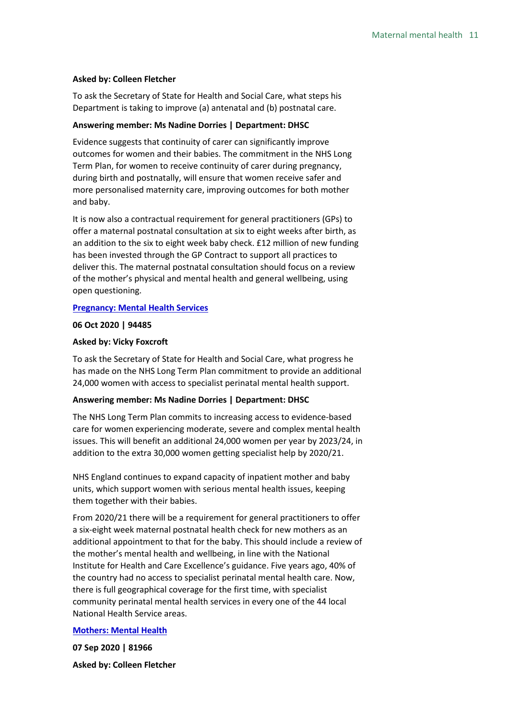#### **Asked by: Colleen Fletcher**

To ask the Secretary of State for Health and Social Care, what steps his Department is taking to improve (a) antenatal and (b) postnatal care.

#### **Answering member: Ms Nadine Dorries | Department: DHSC**

Evidence suggests that continuity of carer can significantly improve outcomes for women and their babies. The commitment in the NHS Long Term Plan, for women to receive continuity of carer during pregnancy, during birth and postnatally, will ensure that women receive safer and more personalised maternity care, improving outcomes for both mother and baby.

It is now also a contractual requirement for general practitioners (GPs) to offer a maternal postnatal consultation at six to eight weeks after birth, as an addition to the six to eight week baby check. £12 million of new funding has been invested through the GP Contract to support all practices to deliver this. The maternal postnatal consultation should focus on a review of the mother's physical and mental health and general wellbeing, using open questioning.

#### **[Pregnancy:](http://www.parliament.uk/written-questions-answers-statements/written-question/commons/2020-09-23/94485) Mental Health Services**

#### **06 Oct 2020 | 94485**

#### **Asked by: Vicky Foxcroft**

To ask the Secretary of State for Health and Social Care, what progress he has made on the NHS Long Term Plan commitment to provide an additional 24,000 women with access to specialist perinatal mental health support.

#### **Answering member: Ms Nadine Dorries | Department: DHSC**

The NHS Long Term Plan commits to increasing access to evidence-based care for women experiencing moderate, severe and complex mental health issues. This will benefit an additional 24,000 women per year by 2023/24, in addition to the extra 30,000 women getting specialist help by 2020/21.

NHS England continues to expand capacity of inpatient mother and baby units, which support women with serious mental health issues, keeping them together with their babies.

From 2020/21 there will be a requirement for general practitioners to offer a six-eight week maternal postnatal health check for new mothers as an additional appointment to that for the baby. This should include a review of the mother's mental health and wellbeing, in line with the National Institute for Health and Care Excellence's guidance. Five years ago, 40% of the country had no access to specialist perinatal mental health care. Now, there is full geographical coverage for the first time, with specialist community perinatal mental health services in every one of the 44 local National Health Service areas.

#### **[Mothers:](http://www.parliament.uk/written-questions-answers-statements/written-question/commons/2020-08-28/81966) Mental Health**

**07 Sep 2020 | 81966**

**Asked by: Colleen Fletcher**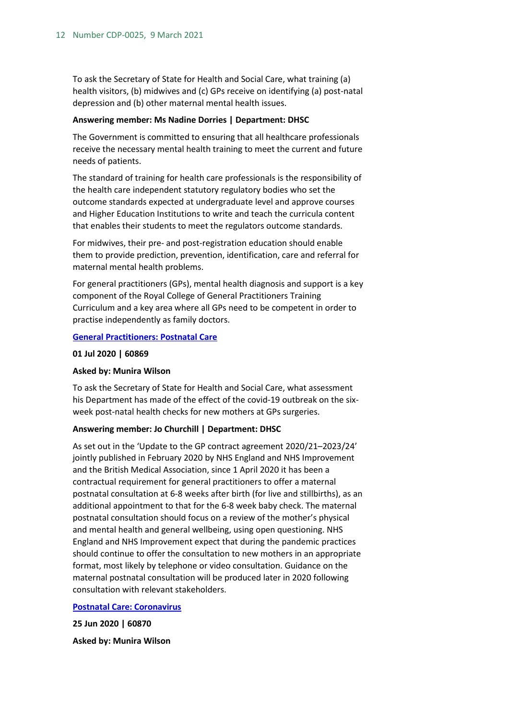To ask the Secretary of State for Health and Social Care, what training (a) health visitors, (b) midwives and (c) GPs receive on identifying (a) post-natal depression and (b) other maternal mental health issues.

#### **Answering member: Ms Nadine Dorries | Department: DHSC**

The Government is committed to ensuring that all healthcare professionals receive the necessary mental health training to meet the current and future needs of patients.

The standard of training for health care professionals is the responsibility of the health care independent statutory regulatory bodies who set the outcome standards expected at undergraduate level and approve courses and Higher Education Institutions to write and teach the curricula content that enables their students to meet the regulators outcome standards.

For midwives, their pre- and post-registration education should enable them to provide prediction, prevention, identification, care and referral for maternal mental health problems.

For general practitioners (GPs), mental health diagnosis and support is a key component of the Royal College of General Practitioners Training Curriculum and a key area where all GPs need to be competent in order to practise independently as family doctors.

#### **[General Practitioners: Postnatal Care](http://www.parliament.uk/written-questions-answers-statements/written-question/commons/2020-06-17/60869)**

#### **01 Jul 2020 | 60869**

#### **Asked by: Munira Wilson**

To ask the Secretary of State for Health and Social Care, what assessment his Department has made of the effect of the covid-19 outbreak on the sixweek post-natal health checks for new mothers at GPs surgeries.

#### **Answering member: Jo Churchill | Department: DHSC**

As set out in the 'Update to the GP contract agreement 2020/21–2023/24' jointly published in February 2020 by NHS England and NHS Improvement and the British Medical Association, since 1 April 2020 it has been a contractual requirement for general practitioners to offer a maternal postnatal consultation at 6-8 weeks after birth (for live and stillbirths), as an additional appointment to that for the 6-8 week baby check. The maternal postnatal consultation should focus on a review of the mother's physical and mental health and general wellbeing, using open questioning. NHS England and NHS Improvement expect that during the pandemic practices should continue to offer the consultation to new mothers in an appropriate format, most likely by telephone or video consultation. Guidance on the maternal postnatal consultation will be produced later in 2020 following consultation with relevant stakeholders.

#### **[Postnatal Care: Coronavirus](http://www.parliament.uk/written-questions-answers-statements/written-question/commons/2020-06-17/60870)**

**25 Jun 2020 | 60870**

**Asked by: Munira Wilson**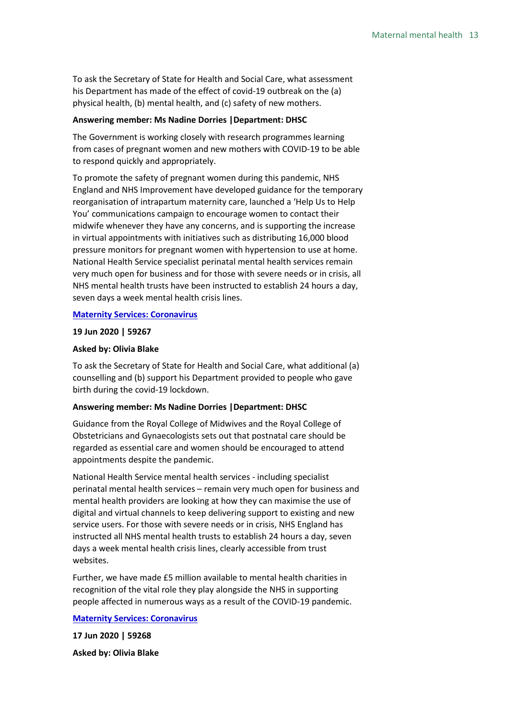To ask the Secretary of State for Health and Social Care, what assessment his Department has made of the effect of covid-19 outbreak on the (a) physical health, (b) mental health, and (c) safety of new mothers.

#### **Answering member: Ms Nadine Dorries |Department: DHSC**

The Government is working closely with research programmes learning from cases of pregnant women and new mothers with COVID-19 to be able to respond quickly and appropriately.

To promote the safety of pregnant women during this pandemic, NHS England and NHS Improvement have developed guidance for the temporary reorganisation of intrapartum maternity care, launched a 'Help Us to Help You' communications campaign to encourage women to contact their midwife whenever they have any concerns, and is supporting the increase in virtual appointments with initiatives such as distributing 16,000 blood pressure monitors for pregnant women with hypertension to use at home. National Health Service specialist perinatal mental health services remain very much open for business and for those with severe needs or in crisis, all NHS mental health trusts have been instructed to establish 24 hours a day, seven days a week mental health crisis lines.

#### **Maternity [Services: Coronavirus](http://www.parliament.uk/written-questions-answers-statements/written-question/commons/2020-06-12/59267)**

#### **19 Jun 2020 | 59267**

#### **Asked by: Olivia Blake**

To ask the Secretary of State for Health and Social Care, what additional (a) counselling and (b) support his Department provided to people who gave birth during the covid-19 lockdown.

#### **Answering member: Ms Nadine Dorries |Department: DHSC**

Guidance from the Royal College of Midwives and the Royal College of Obstetricians and Gynaecologists sets out that postnatal care should be regarded as essential care and women should be encouraged to attend appointments despite the pandemic.

National Health Service mental health services - including specialist perinatal mental health services – remain very much open for business and mental health providers are looking at how they can maximise the use of digital and virtual channels to keep delivering support to existing and new service users. For those with severe needs or in crisis, NHS England has instructed all NHS mental health trusts to establish 24 hours a day, seven days a week mental health crisis lines, clearly accessible from trust websites.

Further, we have made £5 million available to mental health charities in recognition of the vital role they play alongside the NHS in supporting people affected in numerous ways as a result of the COVID-19 pandemic.

#### **Maternity [Services: Coronavirus](http://www.parliament.uk/written-questions-answers-statements/written-question/commons/2020-06-12/59268)**

**17 Jun 2020 | 59268 Asked by: Olivia Blake**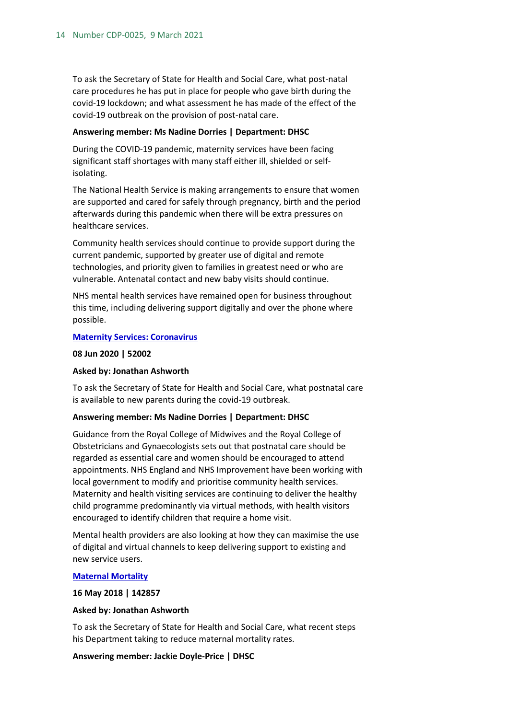To ask the Secretary of State for Health and Social Care, what post-natal care procedures he has put in place for people who gave birth during the covid-19 lockdown; and what assessment he has made of the effect of the covid-19 outbreak on the provision of post-natal care.

#### **Answering member: Ms Nadine Dorries | Department: DHSC**

During the COVID-19 pandemic, maternity services have been facing significant staff shortages with many staff either ill, shielded or selfisolating.

The National Health Service is making arrangements to ensure that women are supported and cared for safely through pregnancy, birth and the period afterwards during this pandemic when there will be extra pressures on healthcare services.

Community health services should continue to provide support during the current pandemic, supported by greater use of digital and remote technologies, and priority given to families in greatest need or who are vulnerable. Antenatal contact and new baby visits should continue.

NHS mental health services have remained open for business throughout this time, including delivering support digitally and over the phone where possible.

#### **Maternity [Services: Coronavirus](http://www.parliament.uk/written-questions-answers-statements/written-question/commons/2020-06-01/52002)**

#### **08 Jun 2020 | 52002**

#### **Asked by: Jonathan Ashworth**

To ask the Secretary of State for Health and Social Care, what postnatal care is available to new parents during the covid-19 outbreak.

#### **Answering member: Ms Nadine Dorries | Department: DHSC**

Guidance from the Royal College of Midwives and the Royal College of Obstetricians and Gynaecologists sets out that postnatal care should be regarded as essential care and women should be encouraged to attend appointments. NHS England and NHS Improvement have been working with local government to modify and prioritise community health services. Maternity and health visiting services are continuing to deliver the healthy child programme predominantly via virtual methods, with health visitors encouraged to identify children that require a home visit.

Mental health providers are also looking at how they can maximise the use of digital and virtual channels to keep delivering support to existing and new service users.

#### **Maternal [Mortality](http://www.parliament.uk/written-questions-answers-statements/written-question/commons/2018-05-10/142857)**

#### **16 May 2018 | 142857**

#### **Asked by: Jonathan Ashworth**

To ask the Secretary of State for Health and Social Care, what recent steps his Department taking to reduce maternal mortality rates.

#### **Answering member: Jackie Doyle-Price | DHSC**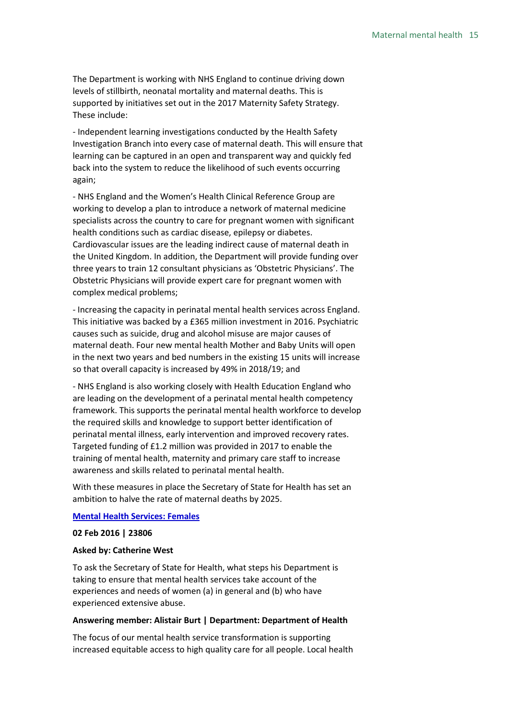The Department is working with NHS England to continue driving down levels of stillbirth, neonatal mortality and maternal deaths. This is supported by initiatives set out in the 2017 Maternity Safety Strategy. These include:

- Independent learning investigations conducted by the Health Safety Investigation Branch into every case of maternal death. This will ensure that learning can be captured in an open and transparent way and quickly fed back into the system to reduce the likelihood of such events occurring again;

- NHS England and the Women's Health Clinical Reference Group are working to develop a plan to introduce a network of maternal medicine specialists across the country to care for pregnant women with significant health conditions such as cardiac disease, epilepsy or diabetes. Cardiovascular issues are the leading indirect cause of maternal death in the United Kingdom. In addition, the Department will provide funding over three years to train 12 consultant physicians as 'Obstetric Physicians'. The Obstetric Physicians will provide expert care for pregnant women with complex medical problems;

- Increasing the capacity in perinatal mental health services across England. This initiative was backed by a £365 million investment in 2016. Psychiatric causes such as suicide, drug and alcohol misuse are major causes of maternal death. Four new mental health Mother and Baby Units will open in the next two years and bed numbers in the existing 15 units will increase so that overall capacity is increased by 49% in 2018/19; and

- NHS England is also working closely with Health Education England who are leading on the development of a perinatal mental health competency framework. This supports the perinatal mental health workforce to develop the required skills and knowledge to support better identification of perinatal mental illness, early intervention and improved recovery rates. Targeted funding of £1.2 million was provided in 2017 to enable the training of mental health, maternity and primary care staff to increase awareness and skills related to perinatal mental health.

With these measures in place the Secretary of State for Health has set an ambition to halve the rate of maternal deaths by 2025.

#### **[Mental Health Services: Females](http://www.parliament.uk/written-questions-answers-statements/written-question/commons/2016-01-25/23806)**

#### **02 Feb 2016 | 23806**

#### **Asked by: Catherine West**

To ask the Secretary of State for Health, what steps his Department is taking to ensure that mental health services take account of the experiences and needs of women (a) in general and (b) who have experienced extensive abuse.

#### **Answering member: Alistair Burt | Department: Department of Health**

The focus of our mental health service transformation is supporting increased equitable access to high quality care for all people. Local health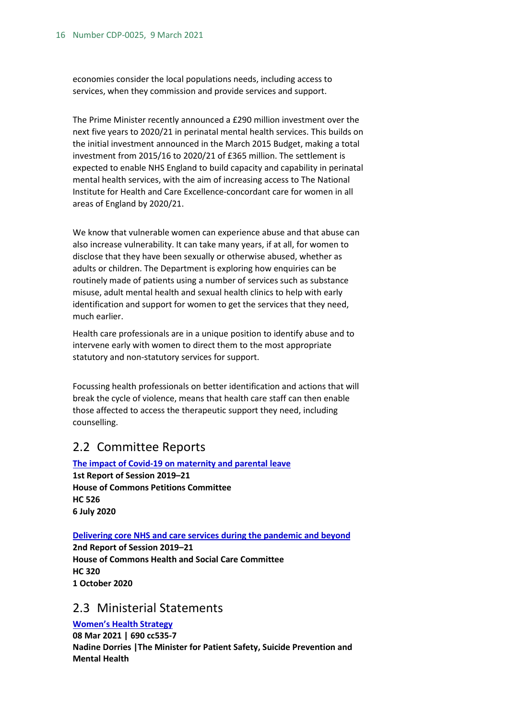economies consider the local populations needs, including access to services, when they commission and provide services and support.

The Prime Minister recently announced a £290 million investment over the next five years to 2020/21 in perinatal mental health services. This builds on the initial investment announced in the March 2015 Budget, making a total investment from 2015/16 to 2020/21 of £365 million. The settlement is expected to enable NHS England to build capacity and capability in perinatal mental health services, with the aim of increasing access to The National Institute for Health and Care Excellence-concordant care for women in all areas of England by 2020/21.

We know that vulnerable women can experience abuse and that abuse can also increase vulnerability. It can take many years, if at all, for women to disclose that they have been sexually or otherwise abused, whether as adults or children. The Department is exploring how enquiries can be routinely made of patients using a number of services such as substance misuse, adult mental health and sexual health clinics to help with early identification and support for women to get the services that they need, much earlier.

Health care professionals are in a unique position to identify abuse and to intervene early with women to direct them to the most appropriate statutory and non-statutory services for support.

Focussing health professionals on better identification and actions that will break the cycle of violence, means that health care staff can then enable those affected to access the therapeutic support they need, including counselling.

## <span id="page-15-0"></span>2.2 Committee Reports

**[The impact of Covid-19 on maternity and parental leave](https://publications.parliament.uk/pa/cm5801/cmselect/cmpetitions/526/52602.htm) 1st Report of Session 2019–21 House of Commons Petitions Committee HC 526 6 July 2020**

#### **[Delivering core NHS and care services during the pandemic and beyond](https://publications.parliament.uk/pa/cm5801/cmselect/cmhealth/320/32002.htm)**

**2nd Report of Session 2019–21 House of Commons Health and Social Care Committee HC 320 1 October 2020**

### <span id="page-15-1"></span>2.3 Ministerial Statements

**[Women's](https://hansard.parliament.uk/pa/cm201921/cmhansrd/cm210308/debtext/210308-0001.htm#BB38FE22-C956-4B05-B856-195926FA2FB8) Health Strategy 08 Mar 2021 | 690 cc535-7 Nadine Dorries |The Minister for Patient Safety, Suicide Prevention and Mental Health**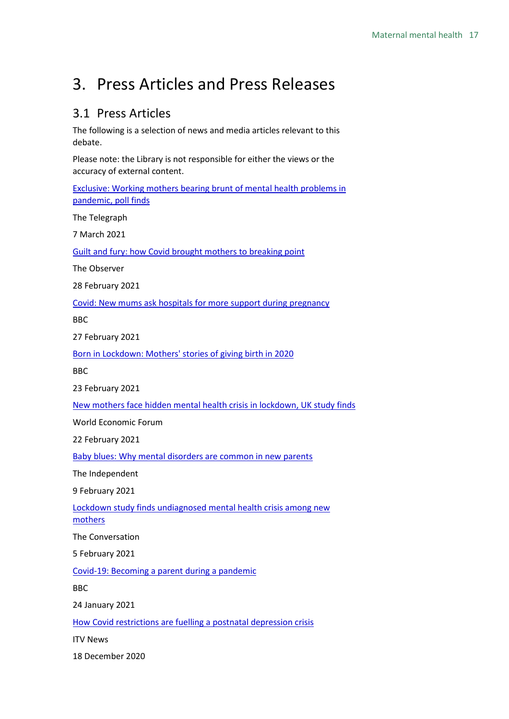## <span id="page-16-0"></span>3. Press Articles and Press Releases

## <span id="page-16-1"></span>3.1 Press Articles

The following is a selection of news and media articles relevant to this debate.

Please note: the Library is not responsible for either the views or the accuracy of external content.

[Exclusive: Working mothers bearing brunt of mental health problems in](https://www.telegraph.co.uk/women/work/working-mothers-bearing-brunt-mental-health-problems-pandemic/)  [pandemic, poll finds](https://www.telegraph.co.uk/women/work/working-mothers-bearing-brunt-mental-health-problems-pandemic/)

The Telegraph

7 March 2021

Guilt and fury: how Covid [brought mothers to breaking point](https://www.theguardian.com/lifeandstyle/2021/feb/28/mums-women-coronavirus-covid-home-schooling-inequality)

The Observer

28 February 2021

[Covid: New mums ask hospitals for more support during pregnancy](https://www.bbc.co.uk/news/uk-england-bristol-56042290)

BBC

27 February 2021

[Born in Lockdown: Mothers' stories of giving birth in 2020](https://www.bbc.co.uk/news/uk-england-55999977)

BBC

23 February 2021

[New mothers face hidden mental health crisis in lockdown, UK study finds](https://www.weforum.org/agenda/2021/02/lockdown-new-mothers-mental-health-depression-anxiety-covid-19/)

World Economic Forum

22 February 2021

[Baby blues: Why mental disorders are common in new parents](https://www.independent.co.uk/news/health/mental-disorder-postpartum-new-parent-b1798156.html)

The Independent

9 February 2021

[Lockdown study finds undiagnosed mental health crisis among new](https://theconversation.com/lockdown-study-finds-undiagnosed-mental-health-crisis-among-new-mothers-154529)  [mothers](https://theconversation.com/lockdown-study-finds-undiagnosed-mental-health-crisis-among-new-mothers-154529)

The Conversation

5 February 2021

[Covid-19: Becoming a parent during a pandemic](https://www.bbc.co.uk/news/uk-northern-ireland-55705082)

BBC

24 January 2021

[How Covid restrictions are fuelling a postnatal depression crisis](https://www.itv.com/news/2020-12-18/how-covid-restrictions-are-fuelling-a-postnatal-depression-crisis)

ITV News

18 December 2020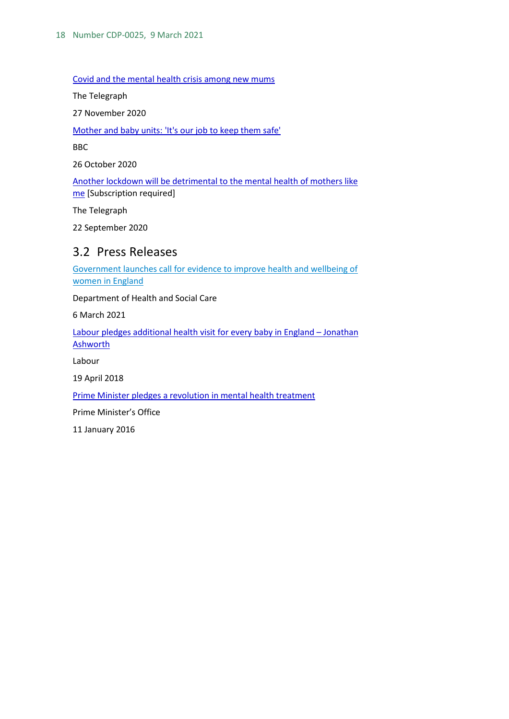[Covid and the mental health crisis among new mums](https://www.telegraph.co.uk/health-fitness/mind/covid-mental-health-crisis-among-new-mums/)

The Telegraph

27 November 2020

[Mother and baby units: 'It's our job to keep them safe'](https://www.bbc.co.uk/news/health-54385375)

BBC

26 October 2020

[Another lockdown will be detrimental to the mental health of mothers like](https://www.telegraph.co.uk/health-fitness/mind/another-lockdown-will-detrimental-mental-health-mothers-like/)  [me](https://www.telegraph.co.uk/health-fitness/mind/another-lockdown-will-detrimental-mental-health-mothers-like/) [Subscription required]

The Telegraph

22 September 2020

### <span id="page-17-0"></span>3.2 Press Releases

[Government launches call for evidence to improve health and wellbeing of](https://www.gov.uk/government/news/government-launches-call-for-evidence-to-improve-health-and-wellbeing-of-women-in-england)  [women in England](https://www.gov.uk/government/news/government-launches-call-for-evidence-to-improve-health-and-wellbeing-of-women-in-england)

Department of Health and Social Care

6 March 2021

[Labour pledges additional health visit for every baby in England –](https://labour.org.uk/press/labour-pledges-additional-health-visit-every-baby-england-jonathan-ashworth/) Jonathan [Ashworth](https://labour.org.uk/press/labour-pledges-additional-health-visit-every-baby-england-jonathan-ashworth/)

Labour

19 April 2018

[Prime Minister pledges a revolution in mental health treatment](https://www.gov.uk/government/news/prime-minister-pledges-a-revolution-in-mental-health-treatment)

Prime Minister's Office

11 January 2016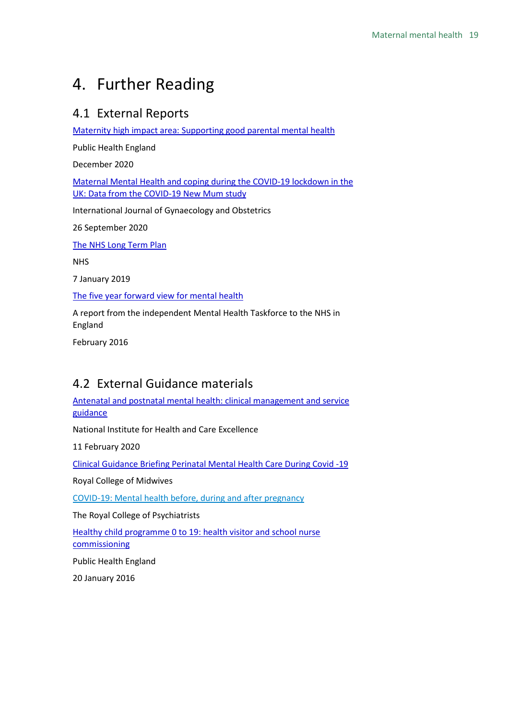## <span id="page-18-0"></span>4. Further Reading

## <span id="page-18-1"></span>4.1 External Reports

[Maternity high impact area: Supporting good parental mental](https://assets.publishing.service.gov.uk/government/uploads/system/uploads/attachment_data/file/942475/Maternity_high_impact_area_2_Supporting_good_parental_mental_health.pdf) health

Public Health England

December 2020

[Maternal Mental Health and coping during the COVID-19 lockdown in the](https://obgyn.onlinelibrary.wiley.com/doi/full/10.1002/ijgo.13397)  [UK: Data from the COVID-19 New Mum study](https://obgyn.onlinelibrary.wiley.com/doi/full/10.1002/ijgo.13397)

International Journal of Gynaecology and Obstetrics

26 September 2020

[The NHS Long Term Plan](https://www.longtermplan.nhs.uk/publication/nhs-long-term-plan/)

NHS

7 January 2019

[The five year forward view for mental health](https://www.england.nhs.uk/wp-content/uploads/2016/02/Mental-Health-Taskforce-FYFV-final.pdf)

A report from the independent Mental Health Taskforce to the NHS in England

February 2016

## <span id="page-18-2"></span>4.2 External Guidance materials

[Antenatal and postnatal mental health: clinical management and service](https://www.nice.org.uk/guidance/cg192)  [guidance](https://www.nice.org.uk/guidance/cg192)

National Institute for Health and Care Excellence

11 February 2020

[Clinical Guidance Briefing Perinatal Mental Health Care During Covid -19](https://www.rcm.org.uk/media/3859/rcm-clinical-guidance-briefing-no-10-perinatal-mental-health-care.pdf) 

Royal College of Midwives

[COVID-19: Mental health before, during and after pregnancy](https://www.rcpsych.ac.uk/mental-health/treatments-and-wellbeing/perinatal-care-and-covid-19)

The Royal College of Psychiatrists

[Healthy child programme 0 to 19: health visitor and school nurse](https://www.gov.uk/government/publications/healthy-child-programme-0-to-19-health-visitor-and-school-nurse-commissioning)  [commissioning](https://www.gov.uk/government/publications/healthy-child-programme-0-to-19-health-visitor-and-school-nurse-commissioning)

Public Health England

20 January 2016